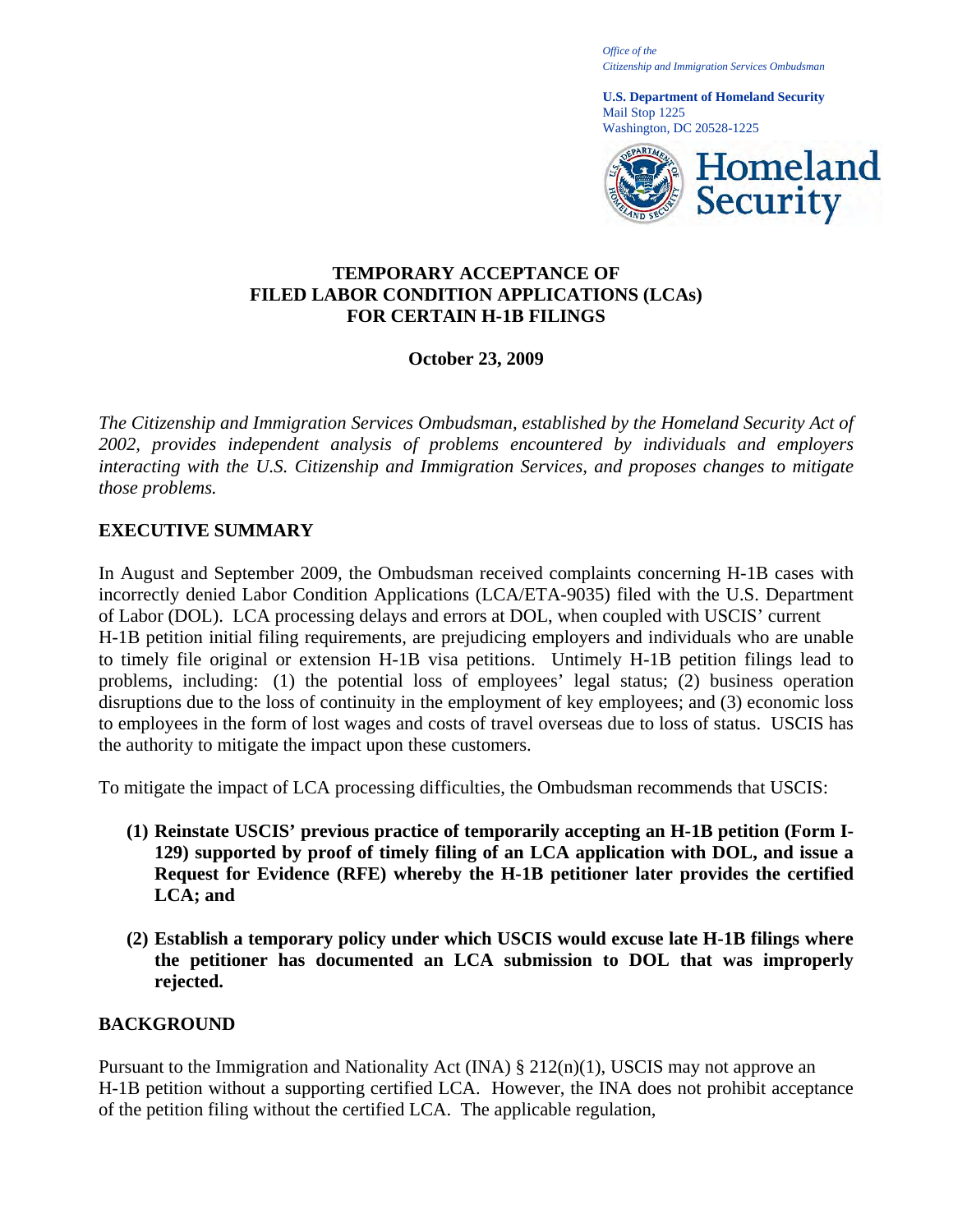*Office of the Citizenship and Immigration Services Ombudsman* 

**U.S. Department of Homeland Security**  Mail Stop 1225 Washington, DC 20528-1225



### **TEMPORARY ACCEPTANCE OF FILED LABOR CONDITION APPLICATIONS (LCAs) FOR CERTAIN H-1B FILINGS**

# **October 23, 2009**

*The Citizenship and Immigration Services Ombudsman, established by the Homeland Security Act of 2002, provides independent analysis of problems encountered by individuals and employers interacting with the U.S. Citizenship and Immigration Services, and proposes changes to mitigate those problems.* 

# **EXECUTIVE SUMMARY**

In August and September 2009, the Ombudsman received complaints concerning H-1B cases with incorrectly denied Labor Condition Applications (LCA/ETA-9035) filed with the U.S. Department of Labor (DOL). LCA processing delays and errors at DOL, when coupled with USCIS' current H-1B petition initial filing requirements, are prejudicing employers and individuals who are unable to timely file original or extension H-1B visa petitions. Untimely H-1B petition filings lead to problems, including: (1) the potential loss of employees' legal status; (2) business operation disruptions due to the loss of continuity in the employment of key employees; and (3) economic loss to employees in the form of lost wages and costs of travel overseas due to loss of status. USCIS has the authority to mitigate the impact upon these customers.

To mitigate the impact of LCA processing difficulties, the Ombudsman recommends that USCIS:

- **(1) Reinstate USCIS' previous practice of temporarily accepting an H-1B petition (Form I-129) supported by proof of timely filing of an LCA application with DOL, and issue a Request for Evidence (RFE) whereby the H-1B petitioner later provides the certified LCA; and**
- **(2) Establish a temporary policy under which USCIS would excuse late H-1B filings where the petitioner has documented an LCA submission to DOL that was improperly rejected.**

### **BACKGROUND**

Pursuant to the Immigration and Nationality Act (INA)  $\S 212(n)(1)$ , USCIS may not approve an H-1B petition without a supporting certified LCA. However, the INA does not prohibit acceptance of the petition filing without the certified LCA. The applicable regulation,